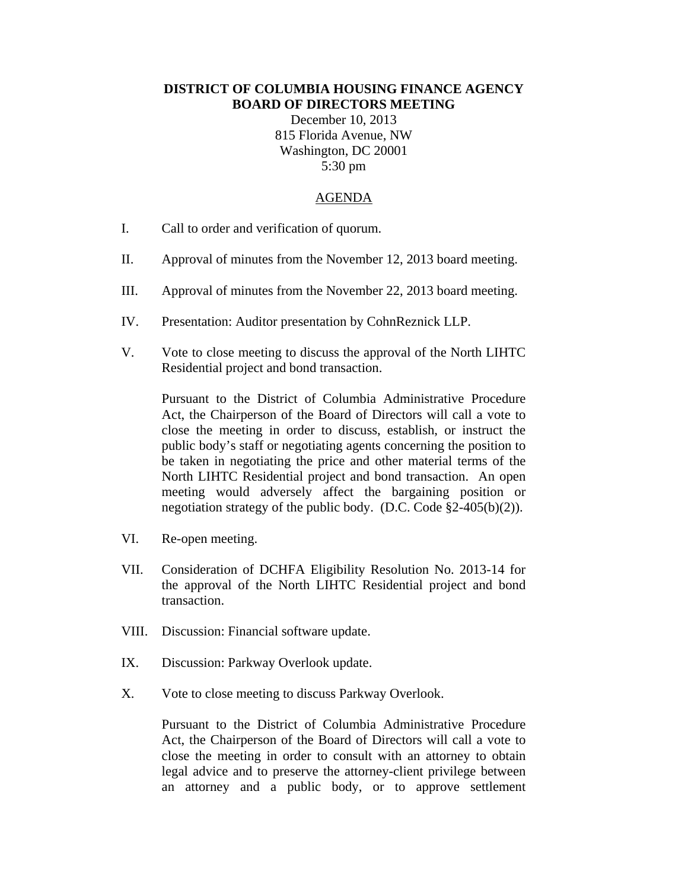## **DISTRICT OF COLUMBIA HOUSING FINANCE AGENCY BOARD OF DIRECTORS MEETING**

December 10, 2013 815 Florida Avenue, NW Washington, DC 20001 5:30 pm

## AGENDA

- I. Call to order and verification of quorum.
- II. Approval of minutes from the November 12, 2013 board meeting.
- III. Approval of minutes from the November 22, 2013 board meeting.
- IV. Presentation: Auditor presentation by CohnReznick LLP.
- V. Vote to close meeting to discuss the approval of the North LIHTC Residential project and bond transaction.

Pursuant to the District of Columbia Administrative Procedure Act, the Chairperson of the Board of Directors will call a vote to close the meeting in order to discuss, establish, or instruct the public body's staff or negotiating agents concerning the position to be taken in negotiating the price and other material terms of the North LIHTC Residential project and bond transaction. An open meeting would adversely affect the bargaining position or negotiation strategy of the public body. (D.C. Code §2-405(b)(2)).

- VI. Re-open meeting.
- VII. Consideration of DCHFA Eligibility Resolution No. 2013-14 for the approval of the North LIHTC Residential project and bond transaction.
- VIII. Discussion: Financial software update.
- IX. Discussion: Parkway Overlook update.
- X. Vote to close meeting to discuss Parkway Overlook.

Pursuant to the District of Columbia Administrative Procedure Act, the Chairperson of the Board of Directors will call a vote to close the meeting in order to consult with an attorney to obtain legal advice and to preserve the attorney-client privilege between an attorney and a public body, or to approve settlement